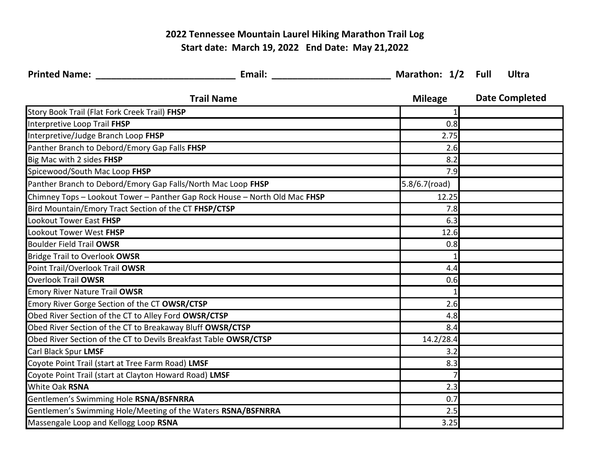## **2022 Tennessee Mountain Laurel Hiking Marathon Trail Log Start date: March 19, 2022 End Date: May 21,2022**

| <b>Printed Name:</b> Name                                    |                                                                            |                | Ultra                 |
|--------------------------------------------------------------|----------------------------------------------------------------------------|----------------|-----------------------|
|                                                              | <b>Trail Name</b>                                                          | <b>Mileage</b> | <b>Date Completed</b> |
| Story Book Trail (Flat Fork Creek Trail) FHSP                |                                                                            |                |                       |
| Interpretive Loop Trail FHSP                                 |                                                                            | 0.8            |                       |
| Interpretive/Judge Branch Loop FHSP                          |                                                                            | 2.75           |                       |
| Panther Branch to Debord/Emory Gap Falls FHSP                |                                                                            | 2.6            |                       |
| Big Mac with 2 sides FHSP                                    |                                                                            | 8.2            |                       |
| Spicewood/South Mac Loop FHSP                                |                                                                            | 7.9            |                       |
|                                                              | Panther Branch to Debord/Emory Gap Falls/North Mac Loop FHSP               | 5.8/6.7(road)  |                       |
|                                                              | Chimney Tops - Lookout Tower - Panther Gap Rock House - North Old Mac FHSP | 12.25          |                       |
| Bird Mountain/Emory Tract Section of the CT FHSP/CTSP        |                                                                            | 7.8            |                       |
| <b>Lookout Tower East FHSP</b>                               |                                                                            | 6.3            |                       |
| Lookout Tower West FHSP                                      |                                                                            | 12.6           |                       |
| <b>Boulder Field Trail OWSR</b>                              |                                                                            | 0.8            |                       |
| <b>Bridge Trail to Overlook OWSR</b>                         |                                                                            |                |                       |
| Point Trail/Overlook Trail OWSR                              |                                                                            | 4.4            |                       |
| <b>Overlook Trail OWSR</b>                                   |                                                                            | 0.6            |                       |
| <b>Emory River Nature Trail OWSR</b>                         |                                                                            |                |                       |
| Emory River Gorge Section of the CT OWSR/CTSP                |                                                                            | 2.6            |                       |
| Obed River Section of the CT to Alley Ford OWSR/CTSP         |                                                                            | 4.8            |                       |
|                                                              | Obed River Section of the CT to Breakaway Bluff OWSR/CTSP                  | 8.4            |                       |
|                                                              | Obed River Section of the CT to Devils Breakfast Table OWSR/CTSP           | 14.2/28.4      |                       |
| Carl Black Spur LMSF                                         |                                                                            | 3.2            |                       |
| Coyote Point Trail (start at Tree Farm Road) LMSF            |                                                                            | 8.3            |                       |
| Coyote Point Trail (start at Clayton Howard Road) LMSF       |                                                                            |                |                       |
| <b>White Oak RSNA</b>                                        |                                                                            | 2.3            |                       |
| Gentlemen's Swimming Hole RSNA/BSFNRRA                       |                                                                            | 0.7            |                       |
| Gentlemen's Swimming Hole/Meeting of the Waters RSNA/BSFNRRA |                                                                            | 2.5            |                       |
| Massengale Loop and Kellogg Loop RSNA                        |                                                                            | 3.25           |                       |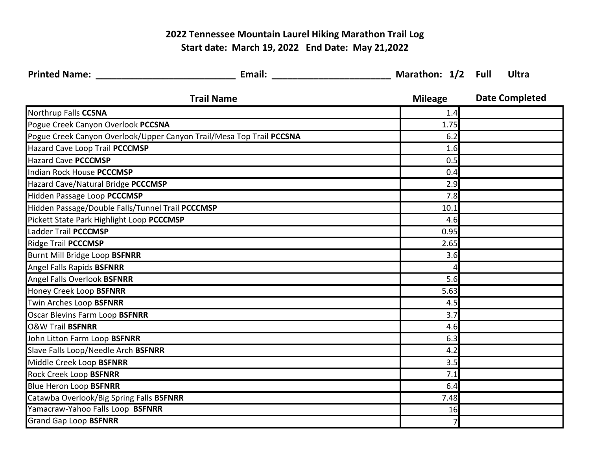## **2022 Tennessee Mountain Laurel Hiking Marathon Trail Log Start date: March 19, 2022 End Date: May 21,2022**

| <b>Printed Name:</b> The Communication of the Communication of the Communication of the Communication of the Communication of the Communication of the Communication of the Communication of the Communication of the Communication |                                                                      |                | Ultra                 |
|-------------------------------------------------------------------------------------------------------------------------------------------------------------------------------------------------------------------------------------|----------------------------------------------------------------------|----------------|-----------------------|
|                                                                                                                                                                                                                                     | <b>Trail Name</b>                                                    | <b>Mileage</b> | <b>Date Completed</b> |
| Northrup Falls CCSNA                                                                                                                                                                                                                |                                                                      | 1.4            |                       |
| Pogue Creek Canyon Overlook PCCSNA                                                                                                                                                                                                  |                                                                      | 1.75           |                       |
|                                                                                                                                                                                                                                     | Pogue Creek Canyon Overlook/Upper Canyon Trail/Mesa Top Trail PCCSNA | 6.2            |                       |
| Hazard Cave Loop Trail PCCCMSP                                                                                                                                                                                                      |                                                                      | 1.6            |                       |
| Hazard Cave PCCCMSP                                                                                                                                                                                                                 |                                                                      | 0.5            |                       |
| Indian Rock House PCCCMSP                                                                                                                                                                                                           |                                                                      | 0.4            |                       |
| Hazard Cave/Natural Bridge PCCCMSP                                                                                                                                                                                                  |                                                                      | 2.9            |                       |
| Hidden Passage Loop PCCCMSP                                                                                                                                                                                                         |                                                                      | 7.8            |                       |
| Hidden Passage/Double Falls/Tunnel Trail PCCCMSP                                                                                                                                                                                    |                                                                      | 10.1           |                       |
| Pickett State Park Highlight Loop PCCCMSP                                                                                                                                                                                           |                                                                      | 4.6            |                       |
| Ladder Trail PCCCMSP                                                                                                                                                                                                                |                                                                      | 0.95           |                       |
| <b>Ridge Trail PCCCMSP</b>                                                                                                                                                                                                          |                                                                      | 2.65           |                       |
| Burnt Mill Bridge Loop BSFNRR                                                                                                                                                                                                       |                                                                      | 3.6            |                       |
| Angel Falls Rapids BSFNRR                                                                                                                                                                                                           |                                                                      |                |                       |
| Angel Falls Overlook BSFNRR                                                                                                                                                                                                         |                                                                      | 5.6            |                       |
| Honey Creek Loop BSFNRR                                                                                                                                                                                                             |                                                                      | 5.63           |                       |
| Twin Arches Loop BSFNRR                                                                                                                                                                                                             |                                                                      | 4.5            |                       |
| Oscar Blevins Farm Loop BSFNRR                                                                                                                                                                                                      |                                                                      | 3.7            |                       |
| <b>O&amp;W Trail BSFNRR</b>                                                                                                                                                                                                         |                                                                      | 4.6            |                       |
| John Litton Farm Loop BSFNRR                                                                                                                                                                                                        |                                                                      | 6.3            |                       |
| Slave Falls Loop/Needle Arch BSFNRR                                                                                                                                                                                                 |                                                                      | 4.2            |                       |
| Middle Creek Loop BSFNRR                                                                                                                                                                                                            |                                                                      | 3.5            |                       |
| <b>Rock Creek Loop BSFNRR</b>                                                                                                                                                                                                       |                                                                      | 7.1            |                       |
| <b>Blue Heron Loop BSFNRR</b>                                                                                                                                                                                                       |                                                                      | 6.4            |                       |
| Catawba Overlook/Big Spring Falls BSFNRR                                                                                                                                                                                            |                                                                      | 7.48           |                       |
| Yamacraw-Yahoo Falls Loop BSFNRR                                                                                                                                                                                                    |                                                                      | 16             |                       |
| <b>Grand Gap Loop BSFNRR</b>                                                                                                                                                                                                        |                                                                      |                |                       |